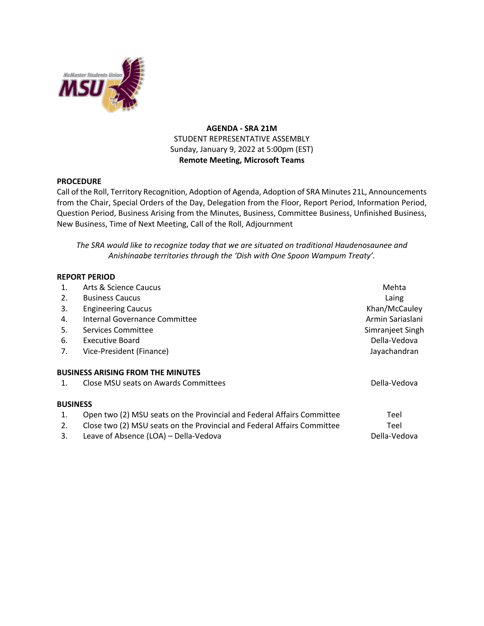

## **AGENDA - SRA 21M** STUDENT REPRESENTATIVE ASSEMBLY Sunday, January 9, 2022 at 5:00pm (EST) **Remote Meeting, Microsoft Teams**

## **PROCEDURE**

Call of the Roll, Territory Recognition, Adoption of Agenda, Adoption of SRA Minutes 21L, Announcements from the Chair, Special Orders of the Day, Delegation from the Floor, Report Period, Information Period, Question Period, Business Arising from the Minutes, Business, Committee Business, Unfinished Business, New Business, Time of Next Meeting, Call of the Roll, Adjournment

*The SRA would like to recognize today that we are situated on traditional Haudenosaunee and Anishinaabe territories through the 'Dish with One Spoon Wampum Treaty'.*

## **REPORT PERIOD**

| 1.              | Arts & Science Caucus                                                                                                                                                                      | Mehta                        |
|-----------------|--------------------------------------------------------------------------------------------------------------------------------------------------------------------------------------------|------------------------------|
| 2.              | <b>Business Caucus</b>                                                                                                                                                                     | Laing                        |
| 3.              | <b>Engineering Caucus</b>                                                                                                                                                                  | Khan/McCauley                |
| 4.              | Internal Governance Committee                                                                                                                                                              | Armin Sariaslani             |
| 5.              | Services Committee                                                                                                                                                                         | Simranjeet Singh             |
| 6.              | Executive Board                                                                                                                                                                            | Della-Vedova                 |
| 7.              | Vice-President (Finance)                                                                                                                                                                   | Jayachandran                 |
| $\mathbf{1}$ .  | <b>BUSINESS ARISING FROM THE MINUTES</b><br>Close MSU seats on Awards Committees                                                                                                           | Della-Vedova                 |
| <b>BUSINESS</b> |                                                                                                                                                                                            |                              |
| 1.<br>2.<br>3.  | Open two (2) MSU seats on the Provincial and Federal Affairs Committee<br>Close two (2) MSU seats on the Provincial and Federal Affairs Committee<br>Leave of Absence (LOA) - Della-Vedova | Teel<br>Teel<br>Della-Vedova |